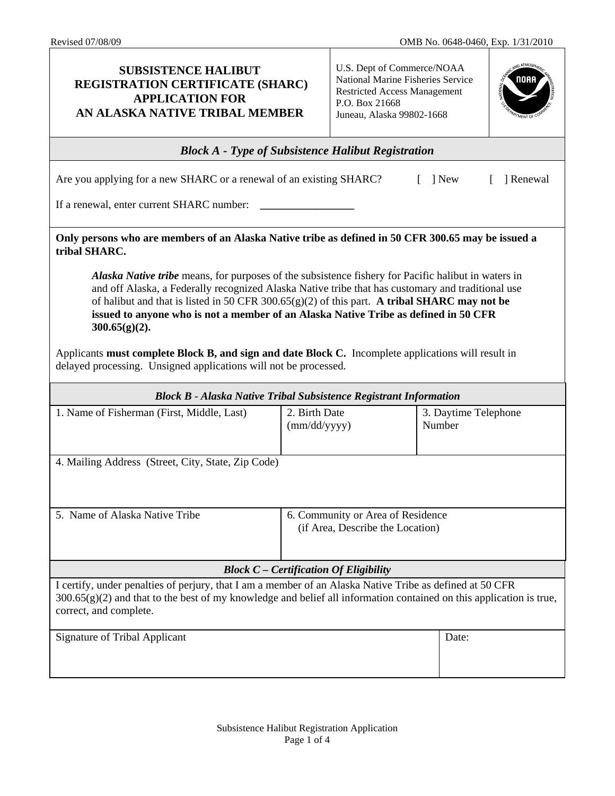Τ

| <b>SUBSISTENCE HALIBUT</b><br><b>REGISTRATION CERTIFICATE (SHARC)</b><br><b>APPLICATION FOR</b><br>AN ALASKA NATIVE TRIBAL MEMBER                                                                                                                                                                                                                                                                                          |                               | U.S. Dept of Commerce/NOAA<br>National Marine Fisheries Service<br><b>Restricted Access Management</b><br>P.O. Box 21668<br>Juneau, Alaska 99802-1668 |                                |         |
|----------------------------------------------------------------------------------------------------------------------------------------------------------------------------------------------------------------------------------------------------------------------------------------------------------------------------------------------------------------------------------------------------------------------------|-------------------------------|-------------------------------------------------------------------------------------------------------------------------------------------------------|--------------------------------|---------|
| <b>Block A</b> - Type of Subsistence Halibut Registration                                                                                                                                                                                                                                                                                                                                                                  |                               |                                                                                                                                                       |                                |         |
| Are you applying for a new SHARC or a renewal of an existing SHARC?<br>] New                                                                                                                                                                                                                                                                                                                                               |                               |                                                                                                                                                       |                                | Renewal |
| If a renewal, enter current SHARC number:                                                                                                                                                                                                                                                                                                                                                                                  |                               |                                                                                                                                                       |                                |         |
| Only persons who are members of an Alaska Native tribe as defined in 50 CFR 300.65 may be issued a<br>tribal SHARC.                                                                                                                                                                                                                                                                                                        |                               |                                                                                                                                                       |                                |         |
| <b>Alaska Native tribe</b> means, for purposes of the subsistence fishery for Pacific halibut in waters in<br>and off Alaska, a Federally recognized Alaska Native tribe that has customary and traditional use<br>of halibut and that is listed in 50 CFR 300.65(g)(2) of this part. A tribal SHARC may not be<br>issued to anyone who is not a member of an Alaska Native Tribe as defined in 50 CFR<br>$300.65(g)(2)$ . |                               |                                                                                                                                                       |                                |         |
| Applicants must complete Block B, and sign and date Block C. Incomplete applications will result in<br>delayed processing. Unsigned applications will not be processed.                                                                                                                                                                                                                                                    |                               |                                                                                                                                                       |                                |         |
| <b>Block B - Alaska Native Tribal Subsistence Registrant Information</b>                                                                                                                                                                                                                                                                                                                                                   |                               |                                                                                                                                                       |                                |         |
| 1. Name of Fisherman (First, Middle, Last)                                                                                                                                                                                                                                                                                                                                                                                 | 2. Birth Date<br>(mm/dd/yyyy) |                                                                                                                                                       | 3. Daytime Telephone<br>Number |         |
| 4. Mailing Address (Street, City, State, Zip Code)                                                                                                                                                                                                                                                                                                                                                                         |                               |                                                                                                                                                       |                                |         |
|                                                                                                                                                                                                                                                                                                                                                                                                                            |                               |                                                                                                                                                       |                                |         |
| 5. Name of Alaska Native Tribe                                                                                                                                                                                                                                                                                                                                                                                             |                               | 6. Community or Area of Residence<br>(if Area, Describe the Location)                                                                                 |                                |         |
| <b>Block C</b> – Certification Of Eligibility                                                                                                                                                                                                                                                                                                                                                                              |                               |                                                                                                                                                       |                                |         |
| I certify, under penalties of perjury, that I am a member of an Alaska Native Tribe as defined at 50 CFR<br>$300.65(g)(2)$ and that to the best of my knowledge and belief all information contained on this application is true,<br>correct, and complete.                                                                                                                                                                |                               |                                                                                                                                                       |                                |         |
| <b>Signature of Tribal Applicant</b>                                                                                                                                                                                                                                                                                                                                                                                       |                               |                                                                                                                                                       | Date:                          |         |

Т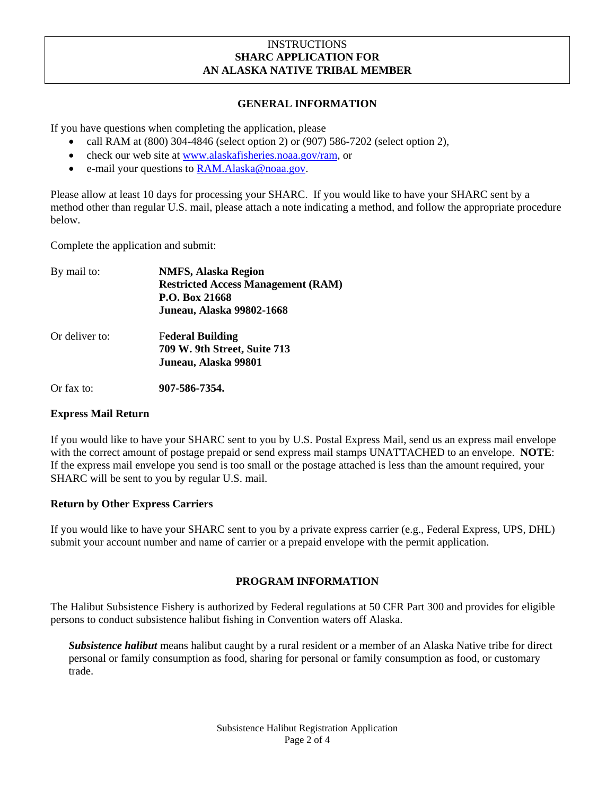### **INSTRUCTIONS SHARC APPLICATION FOR AN ALASKA NATIVE TRIBAL MEMBER**

### **GENERAL INFORMATION**

If you have questions when completing the application, please

- call RAM at (800) 304-4846 (select option 2) or (907) 586-7202 (select option 2),
- check our web site at [www.alaskafisheries.noaa.gov/ram](http://www.alaskafisheries.noaa.gov/ram), or
- e-mail your questions to **RAM.**Alaska@noaa.gov.

Please allow at least 10 days for processing your SHARC. If you would like to have your SHARC sent by a method other than regular U.S. mail, please attach a note indicating a method, and follow the appropriate procedure below.

Complete the application and submit:

| By mail to:    | <b>NMFS, Alaska Region</b>                |
|----------------|-------------------------------------------|
|                | <b>Restricted Access Management (RAM)</b> |
|                | P.O. Box 21668                            |
|                | <b>Juneau, Alaska 99802-1668</b>          |
| Or deliver to: | <b>Federal Building</b>                   |
|                | 709 W. 9th Street, Suite 713              |
|                | Juneau, Alaska 99801                      |
| Or fax to:     | 907-586-7354.                             |

#### **Express Mail Return**

If you would like to have your SHARC sent to you by U.S. Postal Express Mail, send us an express mail envelope with the correct amount of postage prepaid or send express mail stamps UNATTACHED to an envelope. **NOTE**: If the express mail envelope you send is too small or the postage attached is less than the amount required, your SHARC will be sent to you by regular U.S. mail.

# **Return by Other Express Carriers**

If you would like to have your SHARC sent to you by a private express carrier (e.g., Federal Express, UPS, DHL) submit your account number and name of carrier or a prepaid envelope with the permit application.

# **PROGRAM INFORMATION**

The Halibut Subsistence Fishery is authorized by Federal regulations at 50 CFR Part 300 and provides for eligible persons to conduct subsistence halibut fishing in Convention waters off Alaska.

*Subsistence halibut* means halibut caught by a rural resident or a member of an Alaska Native tribe for direct personal or family consumption as food, sharing for personal or family consumption as food, or customary trade.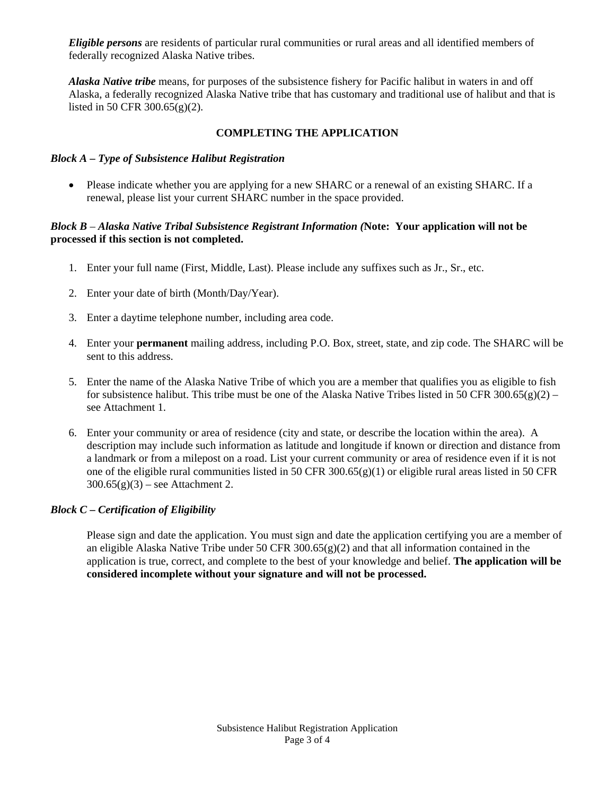*Eligible persons* are residents of particular rural communities or rural areas and all identified members of federally recognized Alaska Native tribes.

*Alaska Native tribe* means, for purposes of the subsistence fishery for Pacific halibut in waters in and off Alaska, a federally recognized Alaska Native tribe that has customary and traditional use of halibut and that is listed in 50 CFR 300.65(g)(2).

## **COMPLETING THE APPLICATION**

#### *Block A – Type of Subsistence Halibut Registration*

• Please indicate whether you are applying for a new SHARC or a renewal of an existing SHARC. If a renewal, please list your current SHARC number in the space provided.

### *Block B – Alaska Native Tribal Subsistence Registrant Information (***Note: Your application will not be processed if this section is not completed.**

- 1. Enter your full name (First, Middle, Last). Please include any suffixes such as Jr., Sr., etc.
- 2. Enter your date of birth (Month/Day/Year).
- 3. Enter a daytime telephone number, including area code.
- 4. Enter your **permanent** mailing address, including P.O. Box, street, state, and zip code. The SHARC will be sent to this address.
- 5. Enter the name of the Alaska Native Tribe of which you are a member that qualifies you as eligible to fish for subsistence halibut. This tribe must be one of the Alaska Native Tribes listed in 50 CFR 300.65(g)(2) – see Attachment 1.
- 6. Enter your community or area of residence (city and state, or describe the location within the area). A description may include such information as latitude and longitude if known or direction and distance from a landmark or from a milepost on a road. List your current community or area of residence even if it is not one of the eligible rural communities listed in 50 CFR 300.65(g)(1) or eligible rural areas listed in 50 CFR  $300.65(g)(3)$  – see Attachment 2.

### *Block C – Certification of Eligibility*

 Please sign and date the application. You must sign and date the application certifying you are a member of an eligible Alaska Native Tribe under 50 CFR 300.65(g)(2) and that all information contained in the application is true, correct, and complete to the best of your knowledge and belief. **The application will be considered incomplete without your signature and will not be processed.**